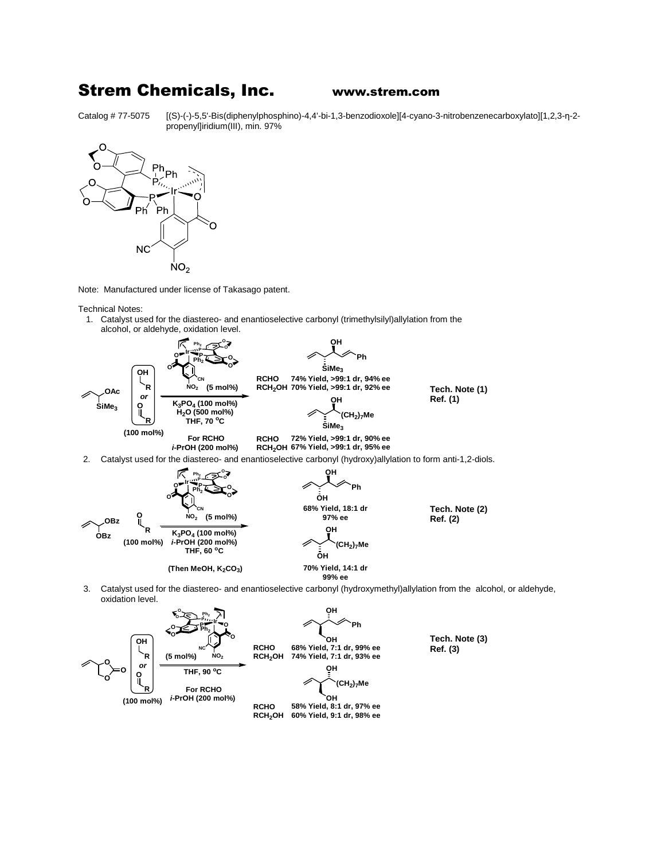## Strem Chemicals, Inc. www.strem.com

Catalog # 77-5075 [(S)-(-)-5,5'-Bis(diphenylphosphino)-4,4'-bi-1,3-benzodioxole][4-cyano-3-nitrobenzenecarboxylato][1,2,3-η-2 propenyl]iridium(III), min. 97%



Note: Manufactured under license of Takasago patent.

Technical Notes:

1. Catalyst used for the diastereo- and enantioselective carbonyl (trimethylsilyl)allylation from the alcohol, or aldehyde, oxidation level.



3. Catalyst used for the diastereo- and enantioselective carbonyl (hydroxymethyl)allylation from the alcohol, or aldehyde, oxidation level.